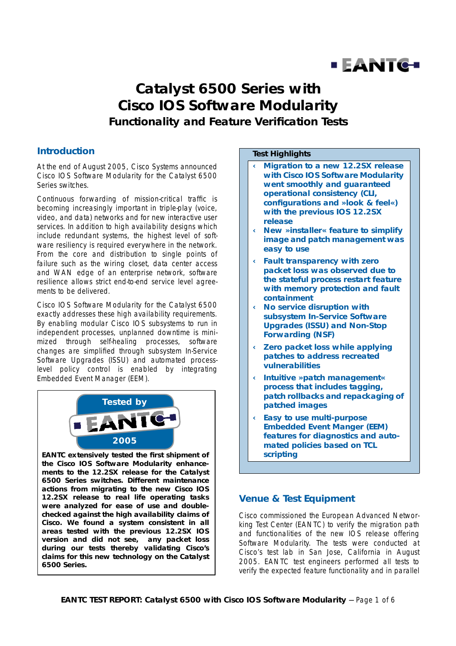

# **Catalyst 6500 Series with Cisco IOS Software Modularity Functionality and Feature Verification Tests**

### **Introduction**

At the end of August 2005, Cisco Systems announced Cisco IOS Software Modularity for the Catalyst 6500 Series switches.

Continuous forwarding of mission-critical traffic is becoming increasingly important in triple-play (voice, video, and data) networks and for new interactive user services. In addition to high availability designs which include redundant systems, the highest level of software resiliency is required everywhere in the network. From the core and distribution to single points of failure such as the wiring closet, data center access and WAN edge of an enterprise network, software resilience allows strict end-to-end service level agreements to be delivered.

Cisco IOS Software Modularity for the Catalyst 6500 exactly addresses these high availability requirements. By enabling modular Cisco IOS subsystems to run in independent processes, unplanned downtime is minimized through self-healing processes, software changes are simplified through subsystem In-Service Software Upgrades (ISSU) and automated processlevel policy control is enabled by integrating Embedded Event Manager (EEM).



**EANTC extensively tested the first shipment of the Cisco IOS Software Modularity enhancements to the 12.2SX release for the Catalyst 6500 Series switches. Different maintenance actions from migrating to the new Cisco IOS 12.2SX release to real life operating tasks were analyzed for ease of use and doublechecked against the high availability claims of Cisco. We found a system consistent in all areas tested with the previous 12.2SX IOS version and did not see, any packet loss during our tests thereby validating Cisco's claims for this new technology on the Catalyst 6500 Series.**

### **Test Highlights**

- **‹ Migration to a new 12.2SX release with Cisco IOS Software Modularity went smoothly and guaranteed operational consistency (CLI, configurations and »look & feel«) with the previous IOS 12.2SX release**
- **‹ New »installer« feature to simplify image and patch management was easy to use**
- **‹ Fault transparency with zero packet loss was observed due to the stateful process restart feature with memory protection and fault containment**
- **‹ No service disruption with subsystem In-Service Software Upgrades (ISSU) and Non-Stop Forwarding (NSF)**
- **‹ Zero packet loss while applying patches to address recreated vulnerabilities**
- **‹ Intuitive »patch management« process that includes tagging, patch rollbacks and repackaging of patched images**
- **‹ Easy to use multi-purpose Embedded Event Manger (EEM) features for diagnostics and automated policies based on TCL scripting**

# **Venue & Test Equipment**

Cisco commissioned the European Advanced Networking Test Center (EANTC) to verify the migration path and functionalities of the new IOS release offering Software Modularity. The tests were conducted at Cisco's test lab in San Jose, California in August 2005. EANTC test engineers performed all tests to verify the expected feature functionality and in parallel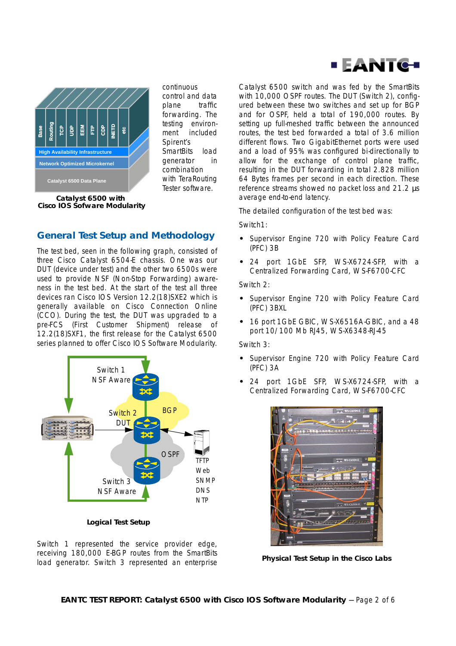



continuous control and data plane traffic forwarding. The testing environment included Spirent's SmartBits load generator in combination with TeraRouting Tester software.

**Catalyst 6500 with Cisco IOS Sofware Modularity**

# **General Test Setup and Methodology**

The test bed, seen in the following graph, consisted of three Cisco Catalyst 6504-E chassis. One was our DUT (device under test) and the other two 6500s were used to provide NSF (Non-Stop Forwarding) awareness in the test bed. At the start of the test all three devices ran Cisco IOS Version 12.2(18)SXE2 which is generally available on Cisco Connection Online (CCO). During the test, the DUT was upgraded to a pre-FCS (First Customer Shipment) release of 12.2(18)SXF1, the first release for the Catalyst 6500 series planned to offer Cisco IOS Software Modularity.



**Logical Test Setup**

Switch 1 represented the service provider edge, receiving 180,000 E-BGP routes from the SmartBits load generator. Switch 3 represented an enterprise Catalyst 6500 switch and was fed by the SmartBits with 10,000 OSPF routes. The DUT (Switch 2), configured between these two switches and set up for BGP and for OSPF, held a total of 190,000 routes. By setting up full-meshed traffic between the announced routes, the test bed forwarded a total of 3.6 million different flows. Two GigabitEthernet ports were used and a load of 95% was configured bi-directionally to allow for the exchange of control plane traffic, resulting in the DUT forwarding in total 2.828 million 64 Bytes frames per second in each direction. These reference streams showed no packet loss and 21.2 µs average end-to-end latency.

The detailed configuration of the test bed was:

Switch1:

- **•** Supervisor Engine 720 with Policy Feature Card (PFC) 3B
- **•** 24 port 1GbE SFP, WS-X6724-SFP, with a Centralized Forwarding Card, WS-F6700-CFC

Switch 2:

- **•** Supervisor Engine 720 with Policy Feature Card (PFC) 3BXL
- **•** 16 port 1GbE GBIC, WS-X6516A-GBIC, and a 48 port 10/100 Mb RJ45, WS-X6348-RJ-45

Switch 3:

- **•** Supervisor Engine 720 with Policy Feature Card (PFC) 3A
- **•** 24 port 1GbE SFP, WS-X6724-SFP, with a Centralized Forwarding Card, WS-F6700-CFC



**Physical Test Setup in the Cisco Labs**

**EANTC TEST REPORT: Catalyst 6500 with Cisco IOS Software Modularity** -- Page 2 of 6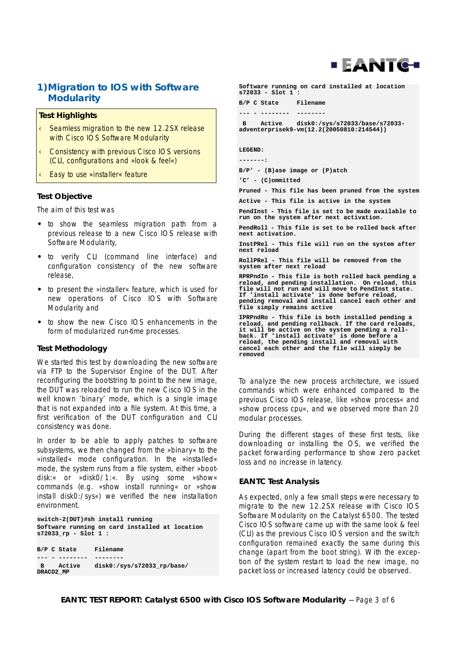

### **1)Migration to IOS with Software Modularity**

#### **Test Highlights**

- Seamless migration to the new 12.2SX release with Cisco IOS Software Modularity
- ‹ Consistency with previous Cisco IOS versions (CLI, configurations and »look & feel«)
- Easy to use »installer« feature

#### **Test Objective**

The aim of this test was

- **•** to show the seamless migration path from a previous release to a new Cisco IOS release with Software Modularity,
- **•** to verify CLI (command line interface) and configuration consistency of the new software release,
- **•** to present the »installer« feature, which is used for new operations of Cisco IOS with Software Modularity and
- **•** to show the new Cisco IOS enhancements in the form of modularized run-time processes.

#### **Test Methodology**

We started this test by downloading the new software via FTP to the Supervisor Engine of the DUT. After reconfiguring the bootstring to point to the new image, the DUT was reloaded to run the new Cisco IOS in the well known 'binary' mode, which is a single image that is not expanded into a file system. At this time, a first verification of the DUT configuration and CLI consistency was done.

In order to be able to apply patches to software subsystems, we then changed from the »binary« to the »installed« mode configuration. In the »installed« mode, the system runs from a file system, either »bootdisk:« or »disk0/1:«. By using some »show« commands (e.g. »show install running« or »show install disk0:/sys«) we verified the new installation environment.

**switch-2(DUT)#sh install running Software running on card installed at location s72033\_rp - Slot 1 :**

```
B/P C State Filename
--- - -------- --------
 B Active disk0:/sys/s72033_rp/base/
DRACO2_MP
```
**Software running on card installed at location s72033 - Slot 1 : B/P C State Filename --- - -------- -------- B Active disk0:/sys/s72033/base/s72033 adventerprisek9-vm(12.2(20050810:214544)) LEGEND: -------: B/P' - (B)ase image or (P)atch 'C' - (C)ommitted Pruned - This file has been pruned from the system Active - This file is active in the system PendInst - This file is set to be made available to run on the system after next activation. PendRoll - This file is set to be rolled back after next activation. InstPRel - This file will run on the system after next reload RollPRel - This file will be removed from the system after next reload RPRPndIn - This file is both rolled back pending a reload, and pending installation. On reload, this file will not run and will move to PendInst state. If 'install activate' is done before reload, pending removal and install cancel each other and file simply remains active IPRPndRo - This file is both installed pending a reload, and pending rollback. If the card reloads, it will be active on the system pending a rollback. If 'install activate' is done before a reload, the pending install and removal with cancel each other and the file will simply be removed**

To analyze the new process architecture, we issued commands which were enhanced compared to the previous Cisco IOS release, like »show process« and »show process cpu«, and we observed more than 20 modular processes.

During the different stages of these first tests, like downloading or installing the OS, we verified the packet forwarding performance to show zero packet loss and no increase in latency.

#### **EANTC Test Analysis**

As expected, only a few small steps were necessary to migrate to the new 12.2SX release with Cisco IOS Software Modularity on the Catalyst 6500. The tested Cisco IOS software came up with the same look & feel (CLI) as the previous Cisco IOS version and the switch configuration remained exactly the same during this change (apart from the boot string). With the exception of the system restart to load the new image, no packet loss or increased latency could be observed.

**EANTC TEST REPORT: Catalyst 6500 with Cisco IOS Software Modularity** -- Page 3 of 6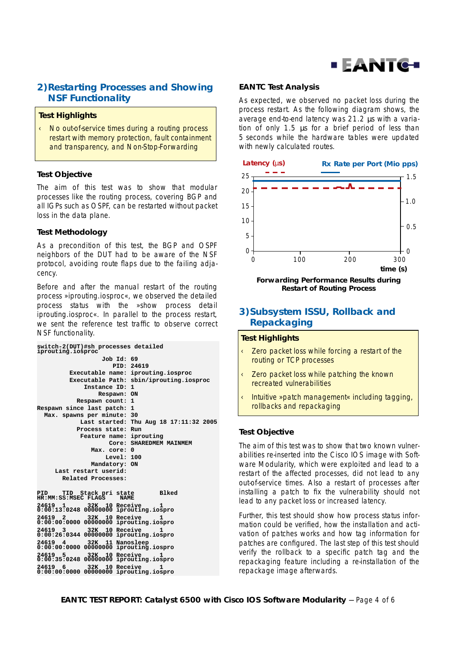

# **2) Restarting Processes and Showing NSF Functionality**

### **Test Highlights**

‹ No out-of-service times during a routing process restart with memory protection, fault containment and transparency, and Non-Stop-Forwarding

### **Test Objective**

The aim of this test was to show that modular processes like the routing process, covering BGP and all IGPs such as OSPF, can be restarted without packet loss in the data plane.

### **Test Methodology**

As a precondition of this test, the BGP and OSPF neighbors of the DUT had to be aware of the NSF protocol, avoiding route flaps due to the failing adjacency.

Before and after the manual restart of the routing process »iprouting.iosproc«, we observed the detailed process status with the »show process detail iprouting.iosproc«. In parallel to the process restart, we sent the reference test traffic to observe correct NSF functionality.

| switch-2(DUT)#sh processes detailed<br>iprouting.iosproc |                                                                          |                          |  |
|----------------------------------------------------------|--------------------------------------------------------------------------|--------------------------|--|
|                                                          | Job Id: 69                                                               |                          |  |
|                                                          | PID: 24619                                                               |                          |  |
|                                                          | Executable name:                                                         | iprouting.iosproc        |  |
|                                                          | Executable Path:                                                         | sbin/iprouting.iosproc   |  |
|                                                          | Instance ID: 1                                                           |                          |  |
|                                                          | Respawn: ON                                                              |                          |  |
|                                                          | Respawn count: 1                                                         |                          |  |
|                                                          | Respawn since last patch:<br>1                                           |                          |  |
|                                                          | Max. spawns per minute:                                                  | 30                       |  |
|                                                          | Last started:                                                            | Thu Aug 18 17:11:32 2005 |  |
|                                                          | Process state:                                                           | Run                      |  |
|                                                          | Feature name:                                                            | iprouting                |  |
|                                                          | Core:                                                                    | SHAREDMEM MAINMEM        |  |
|                                                          | Max. core: 0                                                             |                          |  |
|                                                          | Level: 100                                                               |                          |  |
|                                                          | Mandatory: ON                                                            |                          |  |
|                                                          | Last restart userid:                                                     |                          |  |
|                                                          | Related Processes:                                                       |                          |  |
|                                                          | TID Stack pri state<br>PID<br>HR:MM:SS:MSEC FLAGS<br><b>NAME</b>         | Blked                    |  |
|                                                          | 32K 10 Receive<br>24619<br>1<br>0:00:13:0248 00000000 iprouting.iospro   | ı                        |  |
|                                                          | 32K 10 Receive<br>24619<br>2<br>0:00:00:0000 00000000 iprouting.iospro   | ı                        |  |
|                                                          | 24619<br>32K 10 Receive<br>3<br>0:00:26:0344 00000000 iprouting.iospro   |                          |  |
|                                                          | 24619<br>32K 11 Nanosleep<br>4<br>0:00:00:0000 00000000 iprouting.iospro |                          |  |
|                                                          | 32K 10 Receive<br>24619<br>5<br>0:00:35:0248 00000000 iprouting.iospro   | п.                       |  |
|                                                          | 32K 10 Receive<br>24619 6<br>0:00:00:0000 00000000 iprouting.iospro      | 1                        |  |
|                                                          |                                                                          |                          |  |

### **EANTC Test Analysis**

As expected, we observed no packet loss during the process restart. As the following diagram shows, the average end-to-end latency was 21.2 µs with a variation of only 1.5 µs for a brief period of less than 5 seconds while the hardware tables were updated with newly calculated routes.



**Forwarding Performance Results during Restart of Routing Process**

### **3) Subsystem ISSU, Rollback and Repackaging**

#### **Test Highlights**

- ‹ Zero packet loss while forcing a restart of the routing or TCP processes
- ‹ Zero packet loss while patching the known recreated vulnerabilities
- ‹ Intuitive »patch management« including tagging, rollbacks and repackaging

### **Test Objective**

The aim of this test was to show that two known vulnerabilities re-inserted into the Cisco IOS image with Software Modularity, which were exploited and lead to a restart of the affected processes, did not lead to any out-of-service times. Also a restart of processes after installing a patch to fix the vulnerability should not lead to any packet loss or increased latency.

Further, this test should show how process status information could be verified, how the installation and activation of patches works and how tag information for patches are configured. The last step of this test should verify the rollback to a specific patch tag and the repackaging feature including a re-installation of the repackage image afterwards.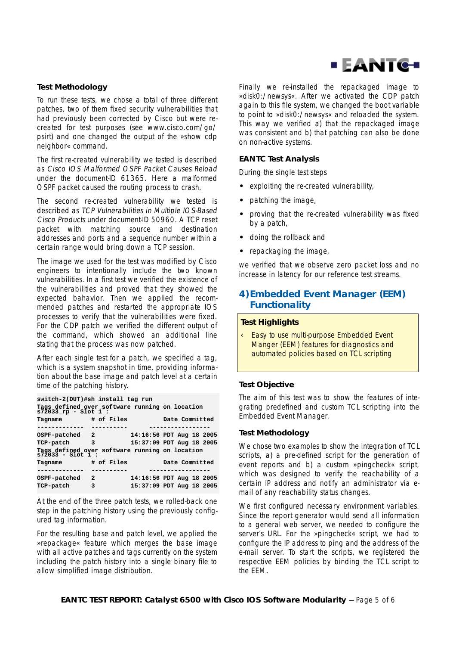

### **Test Methodology**

To run these tests, we chose a total of three different patches, two of them fixed security vulnerabilities that had previously been corrected by Cisco but were recreated for test purposes (see www.cisco.com/go/ psirt) and one changed the output of the »show cdp neighbor« command.

The first re-created vulnerability we tested is described as Cisco IOS Malformed OSPF Packet Causes Reload under the document-ID 61365. Here a malformed OSPF packet caused the routing process to crash.

The second re-created vulnerability we tested is described as TCP Vulnerabilities in Multiple IOS-Based Cisco Products under document-ID 50960. A TCP reset packet with matching source and destination addresses and ports and a sequence number within a certain range would bring down a TCP session.

The image we used for the test was modified by Cisco engineers to intentionally include the two known vulnerabilities. In a first test we verified the existence of the vulnerabilities and proved that they showed the expected bahavior. Then we applied the recommended patches and restarted the appropriate IOS processes to verify that the vulnerabilities were fixed. For the CDP patch we verified the different output of the command, which showed an additional line stating that the process was now patched.

After each single test for a patch, we specified a tag, which is a system snapshot in time, providing information about the base image and patch level at a certain time of the patching history.

**switch-2(DUT)#sh install tag run**

| Tags defined over software running on location s72033_rp - Slot 1 : |            |  |                          |  |  |
|---------------------------------------------------------------------|------------|--|--------------------------|--|--|
| Tagname                                                             | # of Files |  | Date Committed           |  |  |
|                                                                     |            |  |                          |  |  |
| OSPF-patched<br>$\overline{\phantom{a}}$                            |            |  | 14:16:56 PDT Aug 18 2005 |  |  |
| TCP-patch                                                           | 3          |  | 15:37:09 PDT Aug 18 2005 |  |  |
| Tags defined over software running on location<br>s72033 - Slot 1 : |            |  |                          |  |  |
|                                                                     |            |  |                          |  |  |
| Tagname                                                             | # of Files |  | Date Committed           |  |  |
|                                                                     |            |  |                          |  |  |
| OSPF-patched                                                        | - 2        |  | 14:16:56 PDT Aug 18 2005 |  |  |

At the end of the three patch tests, we rolled-back one step in the patching history using the previously configured tag information.

For the resulting base and patch level, we applied the »repackage« feature which merges the base image with all active patches and tags currently on the system including the patch history into a single binary file to allow simplified image distribution.

Finally we re-installed the repackaged image to »disk0:/newsys«. After we activated the CDP patch again to this file system, we changed the boot variable to point to »disk0:/newsys« and reloaded the system. This way we verified a) that the repackaged image was consistent and b) that patching can also be done on non-active systems.

#### **EANTC Test Analysis**

During the single test steps

- **•** exploiting the re-created vulnerability,
- **•** patching the image,
- **•** proving that the re-created vulnerability was fixed by a patch,
- **•** doing the rollback and
- **•** repackaging the image,

we verified that we observe zero packet loss and no increase in latency for our reference test streams.

### **4) Embedded Event Manager (EEM) Functionality**

#### **Test Highlights**

Easy to use multi-purpose Embedded Event Manger (EEM) features for diagnostics and automated policies based on TCL scripting

#### **Test Objective**

The aim of this test was to show the features of integrating predefined and custom TCL scripting into the Embedded Event Manager.

#### **Test Methodology**

We chose two examples to show the integration of TCL scripts, a) a pre-defined script for the generation of event reports and b) a custom »pingcheck« script, which was designed to verify the reachability of a certain IP address and notify an administrator via email of any reachability status changes.

We first configured necessary environment variables. Since the report generator would send all information to a general web server, we needed to configure the server's URL. For the »pingcheck« script, we had to configure the IP address to ping and the address of the e-mail server. To start the scripts, we registered the respective EEM policies by binding the TCL script to the EEM.